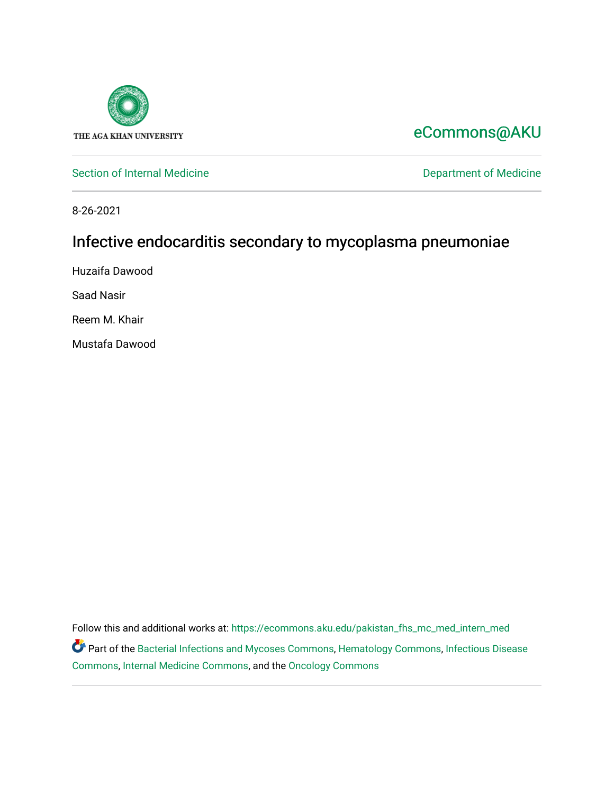

# [eCommons@AKU](https://ecommons.aku.edu/)

[Section of Internal Medicine](https://ecommons.aku.edu/pakistan_fhs_mc_med_intern_med) **Department of Medicine** Department of Medicine

8-26-2021

# Infective endocarditis secondary to mycoplasma pneumoniae

Huzaifa Dawood

Saad Nasir

Reem M. Khair

Mustafa Dawood

Follow this and additional works at: [https://ecommons.aku.edu/pakistan\\_fhs\\_mc\\_med\\_intern\\_med](https://ecommons.aku.edu/pakistan_fhs_mc_med_intern_med?utm_source=ecommons.aku.edu%2Fpakistan_fhs_mc_med_intern_med%2F207&utm_medium=PDF&utm_campaign=PDFCoverPages)  Part of the [Bacterial Infections and Mycoses Commons](http://network.bepress.com/hgg/discipline/966?utm_source=ecommons.aku.edu%2Fpakistan_fhs_mc_med_intern_med%2F207&utm_medium=PDF&utm_campaign=PDFCoverPages), [Hematology Commons](http://network.bepress.com/hgg/discipline/1059?utm_source=ecommons.aku.edu%2Fpakistan_fhs_mc_med_intern_med%2F207&utm_medium=PDF&utm_campaign=PDFCoverPages), [Infectious Disease](http://network.bepress.com/hgg/discipline/689?utm_source=ecommons.aku.edu%2Fpakistan_fhs_mc_med_intern_med%2F207&utm_medium=PDF&utm_campaign=PDFCoverPages)  [Commons](http://network.bepress.com/hgg/discipline/689?utm_source=ecommons.aku.edu%2Fpakistan_fhs_mc_med_intern_med%2F207&utm_medium=PDF&utm_campaign=PDFCoverPages), [Internal Medicine Commons,](http://network.bepress.com/hgg/discipline/1356?utm_source=ecommons.aku.edu%2Fpakistan_fhs_mc_med_intern_med%2F207&utm_medium=PDF&utm_campaign=PDFCoverPages) and the [Oncology Commons](http://network.bepress.com/hgg/discipline/694?utm_source=ecommons.aku.edu%2Fpakistan_fhs_mc_med_intern_med%2F207&utm_medium=PDF&utm_campaign=PDFCoverPages)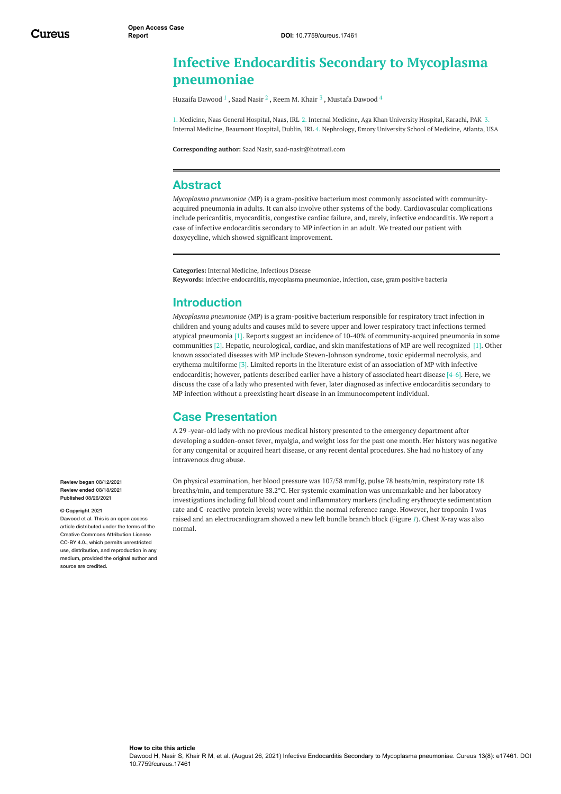## <span id="page-1-0"></span>**Infective Endocarditis Secondary to Mycoplasma pneumoniae**

Huzaifa [Dawood](https://www.cureus.com/users/191187-mustafa-dawood)  $^1$  , Saad [Nasir](https://www.cureus.com/users/129236-saad-nasir)  $^2$  , [Reem](https://www.cureus.com/users/251753-reem-khair-jr-) M. Khair  $^3$  , Mustafa Dawood  $^4$ 

1. Medicine, Naas General Hospital, Naas, IRL 2. Internal Medicine, Aga Khan University Hospital, Karachi, PAK 3. Internal Medicine, Beaumont Hospital, Dublin, IRL 4. Nephrology, Emory University School of Medicine, Atlanta, USA

**Corresponding author:** Saad Nasir, saad-nasir@hotmail.com

#### **Abstract**

*Mycoplasma pneumoniae* (MP) is a gram-positive bacterium most commonly associated with communityacquired pneumonia in adults. It can also involve other systems of the body. Cardiovascular complications include pericarditis, myocarditis, congestive cardiac failure, and, rarely, infective endocarditis. We report a case of infective endocarditis secondary to MP infection in an adult. We treated our patient with doxycycline, which showed significant improvement.

**Categories:** Internal Medicine, Infectious Disease **Keywords:** infective endocarditis, mycoplasma pneumoniae, infection, case, gram positive bacteria

### **Introduction**

<span id="page-1-1"></span>*Mycoplasma pneumoniae* (MP) is a gram-positive bacterium responsible for respiratory tract infection in children and young adults and causes mild to severe upper and lower respiratory tract infections termed atypical pneumonia [1]. Reports suggest an incidence of 10-40% of community-acquired pneumonia in some communities [2]. Hepatic, neurological, cardiac, and skin manifestations of MP are well recognized [1]. Other known associated diseases with MP include Steven-Johnson syndrome, toxic epidermal necrolysis, and erythema multiforme [3]. Limited reports in the literature exist of an association of MP with infective endocarditis; however, patients described earlier have a history of associated heart disease [4-6]. Here, we discuss the case of a lady who presented with fever, later diagnosed as infective endocarditis secondary to MP infection without a preexisting heart disease in an immunocompetent individual.

### **Case Presentation**

A 29 -year-old lady with no previous medical history presented to the emergency department after developing a sudden-onset fever, myalgia, and weight loss for the past one month. Her history was negative for any congenital or acquired heart disease, or any recent dental procedures. She had no history of any intravenous drug abuse.

On physical examination, her blood pressure was 107/58 mmHg, pulse 78 beats/min, respiratory rate 18 breaths/min, and temperature 38.2°C. Her systemic examination was unremarkable and her laboratory investigations including full blood count and inflammatory markers (including erythrocyte sedimentation rate and C-reactive protein levels) were within the normal reference range. However, her troponin-I was raised and an electrocardiogram showed a new left bundle branch block (Figure *[1](#page-1-0)*). Chest X-ray was also normal.

**Review began** 08/12/2021 **Review ended** 08/18/2021 **Published** 08/26/2021

#### **© Copyright** 2021

Dawood et al. This is an open access article distributed under the terms of the Creative Commons Attribution License CC-BY 4.0., which permits unrestricted use, distribution, and reproduction in any medium, provided the original author and source are credited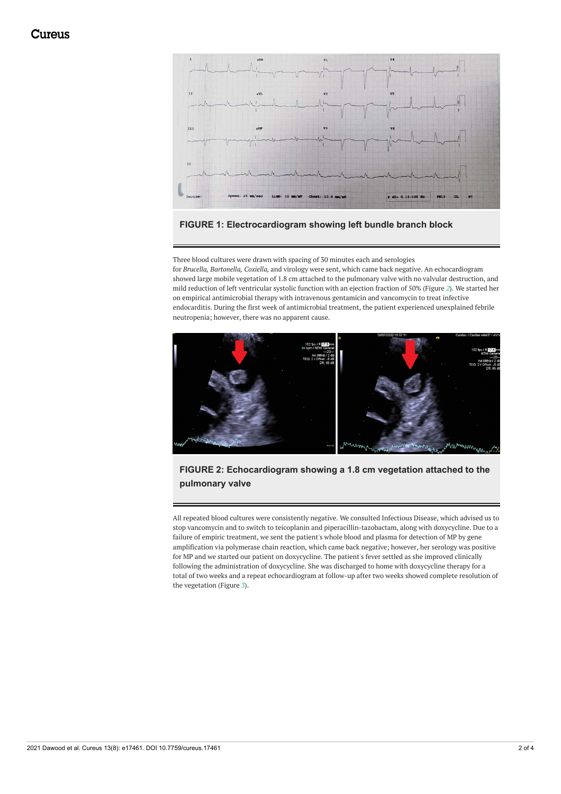<span id="page-2-0"></span>



Three blood cultures were drawn with spacing of 30 minutes each and serologies for *Brucella, Bartonella, Coxiella,* and virology were sent, which came back negative. An echocardiogram showed large mobile vegetation of 1.8 cm attached to the pulmonary valve with no valvular destruction, and mild reduction of left ventricular systolic function with an ejection fraction of 50% (Figure *[2](#page-1-1)*). We started her on empirical antimicrobial therapy with intravenous gentamicin and vancomycin to treat infective endocarditis. During the first week of antimicrobial treatment, the patient experienced unexplained febrile neutropenia; however, there was no apparent cause.



#### **FIGURE 2: Echocardiogram showing a 1.8 cm vegetation attached to the pulmonary valve**

All repeated blood cultures were consistently negative. We consulted Infectious Disease, which advised us to stop vancomycin and to switch to teicoplanin and piperacillin-tazobactam, along with doxycycline. Due to a failure of empiric treatment, we sent the patient's whole blood and plasma for detection of MP by gene amplification via polymerase chain reaction, which came back negative; however, her serology was positive for MP and we started our patient on doxycycline. The patient's fever settled as she improved clinically following the administration of doxycycline. She was discharged to home with doxycycline therapy for a total of two weeks and a repeat echocardiogram at follow-up after two weeks showed complete resolution of the vegetation (Figure *[3](#page-2-0)*).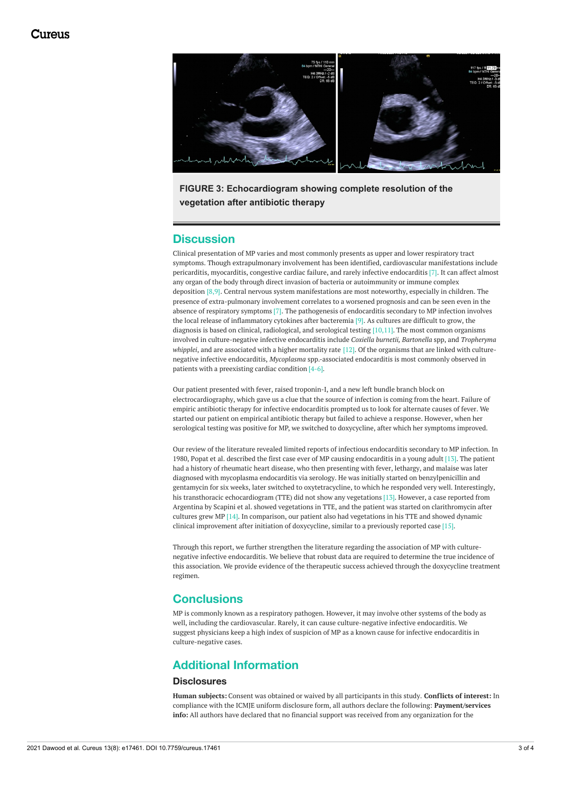

**FIGURE 3: Echocardiogram showing complete resolution of the vegetation after antibiotic therapy**

#### **Discussion**

Clinical presentation of MP varies and most commonly presents as upper and lower respiratory tract symptoms. Though extrapulmonary involvement has been identified, cardiovascular manifestations include pericarditis, myocarditis, congestive cardiac failure, and rarely infective endocarditis [7]. It can affect almost any organ of the body through direct invasion of bacteria or autoimmunity or immune complex deposition [8,9]. Central nervous system manifestations are most noteworthy, especially in children. The presence of extra-pulmonary involvement correlates to a worsened prognosis and can be seen even in the absence of respiratory symptoms [7]. The pathogenesis of endocarditis secondary to MP infection involves the local release of inflammatory cytokines after bacteremia [9]. As cultures are difficult to grow, the diagnosis is based on clinical, radiological, and serological testing [10,11]. The most common organisms involved in culture-negative infective endocarditis include *Coxiella burnetii, Bartonella* spp, and *Tropheryma whipplei*, and are associated with a higher mortality rate [12]. Of the organisms that are linked with culturenegative infective endocarditis, *Mycoplasma* spp.-associated endocarditis is most commonly observed in patients with a preexisting cardiac condition [4-6].

Our patient presented with fever, raised troponin-I, and a new left bundle branch block on electrocardiography, which gave us a clue that the source of infection is coming from the heart. Failure of empiric antibiotic therapy for infective endocarditis prompted us to look for alternate causes of fever. We started our patient on empirical antibiotic therapy but failed to achieve a response. However, when her serological testing was positive for MP, we switched to doxycycline, after which her symptoms improved.

Our review of the literature revealed limited reports of infectious endocarditis secondary to MP infection. In 1980, Popat et al. described the first case ever of MP causing endocarditis in a young adult [13]. The patient had a history of rheumatic heart disease, who then presenting with fever, lethargy, and malaise was later diagnosed with mycoplasma endocarditis via serology. He was initially started on benzylpenicillin and gentamycin for six weeks, later switched to oxytetracycline, to which he responded very well. Interestingly, his transthoracic echocardiogram (TTE) did not show any vegetations [13]. However, a case reported from Argentina by Scapini et al. showed vegetations in TTE, and the patient was started on clarithromycin after cultures grew MP [14]. In comparison, our patient also had vegetations in his TTE and showed dynamic clinical improvement after initiation of doxycycline, similar to a previously reported case [15].

Through this report, we further strengthen the literature regarding the association of MP with culturenegative infective endocarditis. We believe that robust data are required to determine the true incidence of this association. We provide evidence of the therapeutic success achieved through the doxycycline treatment regimen.

#### **Conclusions**

MP is commonly known as a respiratory pathogen. However, it may involve other systems of the body as well, including the cardiovascular. Rarely, it can cause culture-negative infective endocarditis. We suggest physicians keep a high index of suspicion of MP as a known cause for infective endocarditis in culture-negative cases.

## **Additional Information**

#### **Disclosures**

**Human subjects:** Consent was obtained or waived by all participants in this study. **Conflicts of interest:** In compliance with the ICMJE uniform disclosure form, all authors declare the following: **Payment/services info:** All authors have declared that no financial support was received from any organization for the